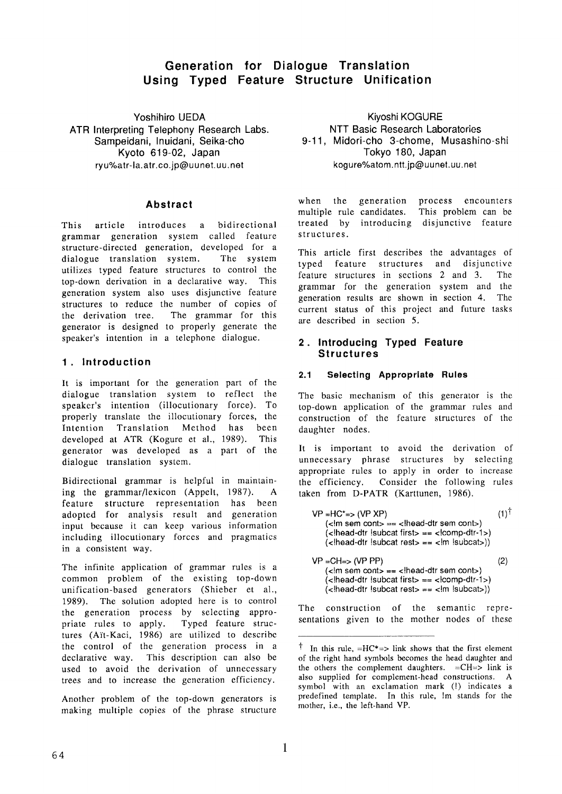# **Generation for Dialogue Translation Using Typed Feature Structure Unification**

Yoshihiro UEDA ATR Interpreting Telephony Research Labs. Sampeidani, Inuidani, Seika-cho Kyoto 619-02, Japan ryu%atr-la.atr.co.jp@uunet.uu.net

# **Abstract**

This article introduces a bidirectional grammar generation system called feature structure-directed generation, developed for a dialogue translation system. The system utilizes typed feature structures to control the top-down derivation in a declarative way. This generation system also uses disjunctive feature structures to reduce the number of copies of the derivation tree. The grammar for this generator is designed to properly generate the speaker's intention in a telephone dialogue.

### **1. Introduction**

It is important for the generation part of the dialogue translation system to reflect the speaker's intention (illocutionary force). To properly translate the illocutionary forces, the Intention Translation Method has been developed at ATR (Kogure et al., 1989). This generator was developed as a part of the dialogue translation system.

Bidirectional grammar is helpful in maintaining the grammar/lexicon (Appelt,  $1987$ ). A feature structure representation has been adopted for analysis result and generation input because it can keep various information including illocutionary forces and pragmatics in a consistent way.

The infinite application of grammar rules is a common problem of the existing top-down unification-based generators (Shieber et al., 1989). The solution adopted here is to control the generation process by selecting appropriate rules to apply. Typed feature structures (Aït-Kaci, 1986) are utilized to describe the control of the generation process in a declarative way. This description can also be used to avoid the derivation of unnecessary trees and to increase the generation efficiency.

Another problem of the top-down generators is making multiple copies of the phrase structure

Kiyoshi KOGURE NTT Basic Research Laboratories 9-11, Midori-cho 3-chome, Musashino-shi Tokyo 180, Japan kogure%atom.ntt.jp@ uunet.uu.net

when the generation process encounters multiple rule candidates. This problem can be treated by introducing disjunctive feature structures.

This article first describes the advantages of typed feature structures and disjunctive feature structures in sections 2 and 3. The grammar for the generation system and the generation results are shown in section 4. The current status of this project and future tasks are described in section 5.

### **2. Introducing Typed Feature Structures**

### **2.1 Selecting Appropriate Rules**

The basic mechanism of this generator is the top-down application of the grammar rules and construction of the feature structures of the daughter nodes.

It is important to avoid the derivation of unnecessary phrase structures by selecting appropriate rules to apply in order to increase the efficiency. Consider the following rules taken from D-PATR (Karttunen, 1986).

| $VP = HC^* => (VP XP)$<br>( m sem cont == head-dtr sem cont )<br>( <lhead-dtr first="" lsubcat=""> == <lcomp-dtr-1>)<br/>(<!--head-dtr !subcat rest--> == <!--m !subcat-->))</lcomp-dtr-1></lhead-dtr>                              |    |
|-------------------------------------------------------------------------------------------------------------------------------------------------------------------------------------------------------------------------------------|----|
| VP ≕CH≕> (VP PP)<br>( m sem cont == head-dtr sem cont )<br>$(\leq \text{head-dtr}! \text{subcat first}) = \leq \text{comp-dtr-1}$<br>$\left(\text{<} \text{head-dtr} \right)$ [subcat rest = $\left(\text{cm} \right)$ [subcat > ]) | 2) |

The construction of the semantic representations given to the mother nodes of these

<sup>&</sup>lt;sup> $\dagger$ </sup> In this rule, =HC<sup>\*</sup>=> link shows that the first element of the right hand symbols becomes the head daughter and the others the complement daughters.  $=CH \equiv \geq$  link is also supplied for complement-head constructions. A symbol with an exclamation mark (!) indicates a predefined template. In this rule, Im stands for the mother, i.e., the left-hand VP.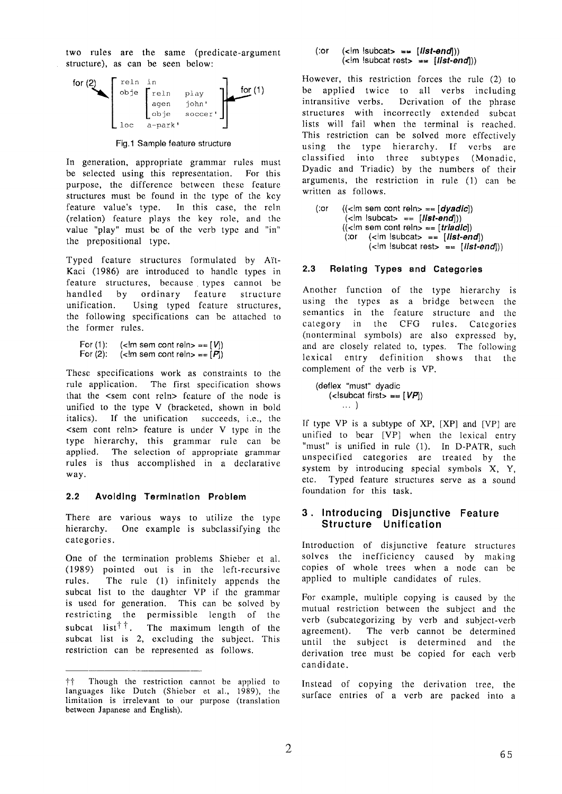two rules are the same (predicate-argument structure), as can be seen below:



Fig.1 Sample feature structure

In generation, appropriate grammar rules must be selected using this representation. For this purpose, the difference between these feature structures must be found in the type of the key feature value's type. In this case, the reln (relation) feature plays the key role, and the value "play" must be of the verb type and "in" the prepositional type.

Typed feature structures formulated by Aït-Kaci (1986) are introduced to handle types in feature structures, because, types cannot be handled by ordinary feature structure unification. Using typed feature structures, the following specifications can be attached to the former rules.

For (1): (<! m sem cont reln> ==  $[V]$ ) For (2): (<!m sem cont reln> ==  $[P]$ )

These specifications work as constraints to the rule application. The first specification shows that the <sem cont reln> feature of the node is unified to the type V (bracketed, shown in bold italics). If the unification succeeds, i.e., the <sem cont reln> feature is under V type in the type hierarchy, this grammar rule can be applied. The selection of appropriate grammar rules is thus accomplished in a declarative way.

# **2.2 Avoiding Termination Problem**

There are various ways to utilize the type hierarchy. One example is subclassifying the categories.

One of the termination problems Shieber et al. (1989) pointed out is in the left-recursive rules. The rule (1) infinitely appends the subcat list to the daughter VP if the grammar is used for generation. This can be solved by restricting the permissible length of the subcat list<sup>††</sup>. The maximum length of the subcat list is 2, excluding the subject. This restriction can be represented as follows.

#### (:or  $(\langle m \rangle \cdot | m \rangle = \langle m \rangle$  (subcat =  $\langle m \rangle$  *[list-end]*) **(<!m lsubcat rest> ==** *[list-end]))*

However, this restriction forces the rule (2) to be applied twice to all verbs including intransitive verbs. Derivation of the phrase structures with incorrectly extended subcat lists will fail when the terminal is reached. This restriction can be solved more effectively using the type hierarchy. If verbs are classified into three subtypes (Monadic, Dyadic and Triadic) by the numbers of their arguments, the restriction in rule (1) can be written as follows.

(:or ((<Im sem cent rein> == *[dyadic])*   $\langle$  <!m !subcat> ==  $[llst\text{-}end]$ )) ((<!m sem cent rein> == *[triadic])*   $(\text{or } (\text{dim } \text{subcat} > == \text{[list-end]})$ (<!m !subcat rest> == *[list-end]))* 

### **2.3 Relating Types and Categories**

Another function of the type hierarchy is using the types as a bridge between the semantics in the feature structure and the category in the CFG rules. Categories (nonterminal symbols) are also expressed by, and are closely related to, types. The following lexical entry definition shows that the complement of the verb is VP.

(deflex "must" dyadic (<lsubcat first> ==  $|VP|$ ) • .. )

If type VP is a subtype of XP, [XP] and [VP] are unified to bear [VP] when the lexical entry "must" is unified in rule (1). In D-PATR, such unspecified categories are treated by the system by introducing special symbols X, Y, etc. Typed feature structures serve as a sound foundation for this task.

### **3. Introducing Disjunctive Feature Structure Unification**

Introduction of disjunctive feature structures solves the inefficiency caused by making copies of whole trees when a node can be applied to multiple candidates of rules.

For example, multiple copying is caused by the mutual restriction between the subject and the verb (subcategorizing by verb and subject-verb agreement). The verb cannot be determined until the subject is determined and the derivation tree must be copied for each verb candidate.

Instead of copying the derivation tree, the surface entries of a verb are packed into a

<sup>&</sup>lt;sup>†</sup>† Though the restriction cannot be applied to languages like Dutch (Shieber et al., 1989), the limitation is irrelevant to our purpose (translation between Japanese and English).